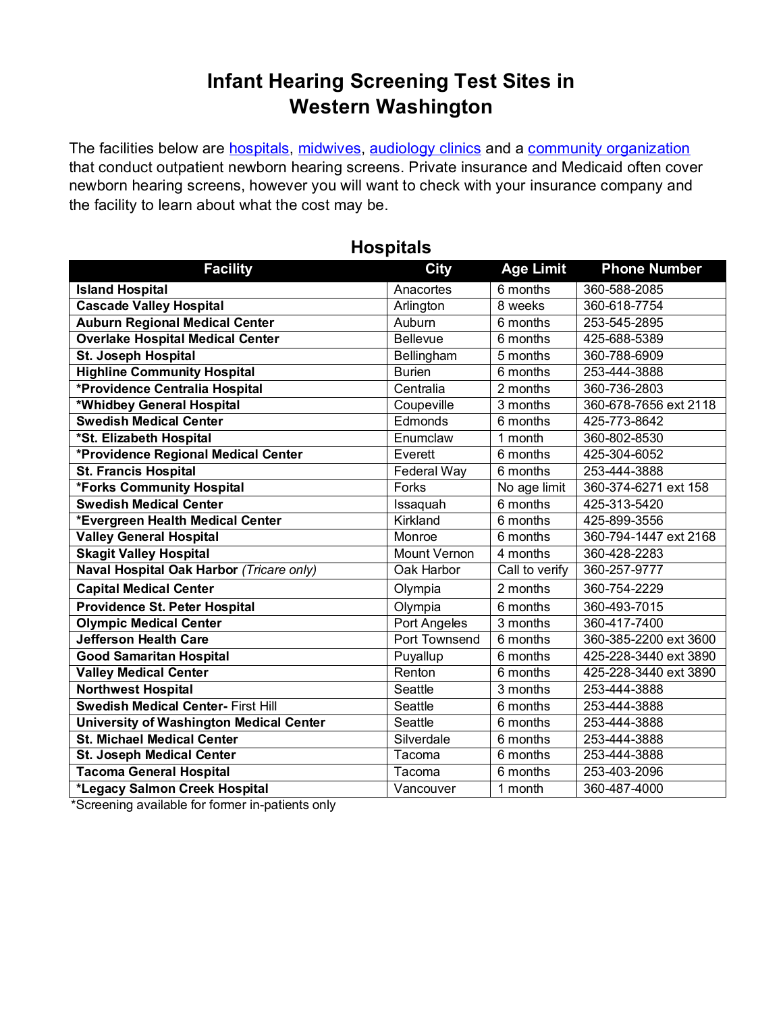## **Infant Hearing Screening Test Sites in Western Washington**

The facilities below are [hospitals,](#page-0-0) [midwives,](#page-0-1) [audiology clinics](#page-1-0) and a [community organization](#page-3-0) that conduct outpatient newborn hearing screens. Private insurance and Medicaid often cover newborn hearing screens, however you will want to check with your insurance company and the facility to learn about what the cost may be.

<span id="page-0-0"></span>

| <b>Facility</b>                                | <b>City</b>         | <b>Age Limit</b> | <b>Phone Number</b>   |
|------------------------------------------------|---------------------|------------------|-----------------------|
| <b>Island Hospital</b>                         | Anacortes           | 6 months         | 360-588-2085          |
| <b>Cascade Valley Hospital</b>                 | Arlington           | 8 weeks          | 360-618-7754          |
| <b>Auburn Regional Medical Center</b>          | Auburn              | 6 months         | 253-545-2895          |
| <b>Overlake Hospital Medical Center</b>        | <b>Bellevue</b>     | 6 months         | 425-688-5389          |
| St. Joseph Hospital                            | Bellingham          | 5 months         | 360-788-6909          |
| <b>Highline Community Hospital</b>             | <b>Burien</b>       | 6 months         | 253-444-3888          |
| *Providence Centralia Hospital                 | Centralia           | 2 months         | 360-736-2803          |
| *Whidbey General Hospital                      | Coupeville          | 3 months         | 360-678-7656 ext 2118 |
| <b>Swedish Medical Center</b>                  | Edmonds             | 6 months         | 425-773-8642          |
| *St. Elizabeth Hospital                        | Enumclaw            | 1 month          | 360-802-8530          |
| *Providence Regional Medical Center            | Everett             | 6 months         | 425-304-6052          |
| <b>St. Francis Hospital</b>                    | Federal Way         | 6 months         | 253-444-3888          |
| *Forks Community Hospital                      | Forks               | No age limit     | 360-374-6271 ext 158  |
| <b>Swedish Medical Center</b>                  | Issaquah            | 6 months         | 425-313-5420          |
| *Evergreen Health Medical Center               | Kirkland            | 6 months         | 425-899-3556          |
| <b>Valley General Hospital</b>                 | Monroe              | 6 months         | 360-794-1447 ext 2168 |
| <b>Skagit Valley Hospital</b>                  | <b>Mount Vernon</b> | 4 months         | 360-428-2283          |
| Naval Hospital Oak Harbor (Tricare only)       | Oak Harbor          | Call to verify   | 360-257-9777          |
| <b>Capital Medical Center</b>                  | Olympia             | 2 months         | 360-754-2229          |
| Providence St. Peter Hospital                  | Olympia             | 6 months         | 360-493-7015          |
| <b>Olympic Medical Center</b>                  | Port Angeles        | 3 months         | 360-417-7400          |
| <b>Jefferson Health Care</b>                   | Port Townsend       | 6 months         | 360-385-2200 ext 3600 |
| <b>Good Samaritan Hospital</b>                 | Puyallup            | 6 months         | 425-228-3440 ext 3890 |
| <b>Valley Medical Center</b>                   | Renton              | 6 months         | 425-228-3440 ext 3890 |
| <b>Northwest Hospital</b>                      | Seattle             | 3 months         | 253-444-3888          |
| <b>Swedish Medical Center- First Hill</b>      | Seattle             | 6 months         | 253-444-3888          |
| <b>University of Washington Medical Center</b> | Seattle             | 6 months         | 253-444-3888          |
| <b>St. Michael Medical Center</b>              | Silverdale          | 6 months         | 253-444-3888          |
| <b>St. Joseph Medical Center</b>               | Tacoma              | 6 months         | 253-444-3888          |
| <b>Tacoma General Hospital</b>                 | Tacoma              | 6 months         | 253-403-2096          |
| *Legacy Salmon Creek Hospital                  | Vancouver           | 1 month          | 360-487-4000          |

#### **Hospitals**

<span id="page-0-1"></span>\*Screening available for former in-patients only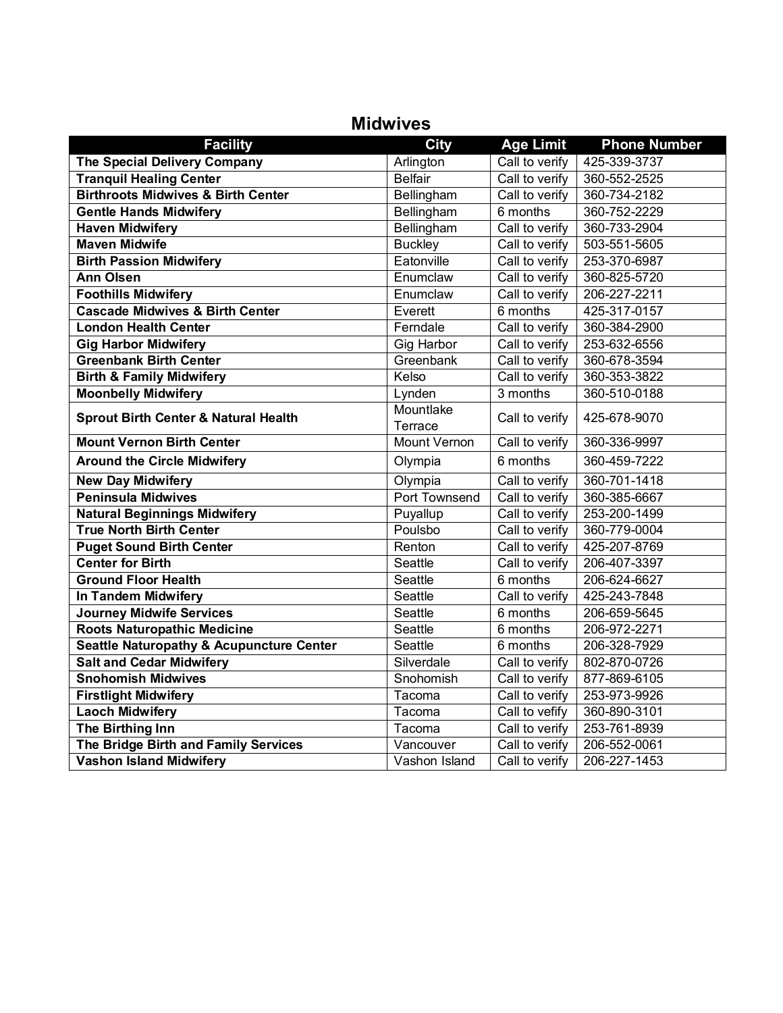| <b>Facility</b>                                     | <b>City</b>          | <b>Age Limit</b> | <b>Phone Number</b> |
|-----------------------------------------------------|----------------------|------------------|---------------------|
| The Special Delivery Company                        | Arlington            | Call to verify   | 425-339-3737        |
| <b>Tranquil Healing Center</b>                      | <b>Belfair</b>       | Call to verify   | 360-552-2525        |
| <b>Birthroots Midwives &amp; Birth Center</b>       | Bellingham           | Call to verify   | 360-734-2182        |
| <b>Gentle Hands Midwifery</b>                       | Bellingham           | 6 months         | 360-752-2229        |
| <b>Haven Midwifery</b>                              | Bellingham           | Call to verify   | 360-733-2904        |
| <b>Maven Midwife</b>                                | <b>Buckley</b>       | Call to verify   | 503-551-5605        |
| <b>Birth Passion Midwifery</b>                      | Eatonville           | Call to verify   | 253-370-6987        |
| <b>Ann Olsen</b>                                    | Enumclaw             | Call to verify   | 360-825-5720        |
| <b>Foothills Midwifery</b>                          | Enumclaw             | Call to verify   | 206-227-2211        |
| <b>Cascade Midwives &amp; Birth Center</b>          | Everett              | 6 months         | 425-317-0157        |
| <b>London Health Center</b>                         | Ferndale             | Call to verify   | 360-384-2900        |
| <b>Gig Harbor Midwifery</b>                         | Gig Harbor           | Call to verify   | 253-632-6556        |
| <b>Greenbank Birth Center</b>                       | Greenbank            | Call to verify   | 360-678-3594        |
| <b>Birth &amp; Family Midwifery</b>                 | Kelso                | Call to verify   | 360-353-3822        |
| <b>Moonbelly Midwifery</b>                          | Lynden               | 3 months         | 360-510-0188        |
| <b>Sprout Birth Center &amp; Natural Health</b>     | Mountlake<br>Terrace | Call to verify   | 425-678-9070        |
| <b>Mount Vernon Birth Center</b>                    | <b>Mount Vernon</b>  | Call to verify   | 360-336-9997        |
| <b>Around the Circle Midwifery</b>                  | Olympia              | 6 months         | 360-459-7222        |
| <b>New Day Midwifery</b>                            | Olympia              | Call to verify   | 360-701-1418        |
| <b>Peninsula Midwives</b>                           | Port Townsend        | Call to verify   | 360-385-6667        |
| <b>Natural Beginnings Midwifery</b>                 | Puyallup             | Call to verify   | 253-200-1499        |
| <b>True North Birth Center</b>                      | Poulsbo              | Call to verify   | 360-779-0004        |
| <b>Puget Sound Birth Center</b>                     | Renton               | Call to verify   | 425-207-8769        |
| <b>Center for Birth</b>                             | Seattle              | Call to verify   | 206-407-3397        |
| <b>Ground Floor Health</b>                          | Seattle              | 6 months         | 206-624-6627        |
| In Tandem Midwifery                                 | Seattle              | Call to verify   | 425-243-7848        |
| <b>Journey Midwife Services</b>                     | Seattle              | 6 months         | 206-659-5645        |
| <b>Roots Naturopathic Medicine</b>                  | Seattle              | 6 months         | 206-972-2271        |
| <b>Seattle Naturopathy &amp; Acupuncture Center</b> | Seattle              | 6 months         | 206-328-7929        |
| <b>Salt and Cedar Midwifery</b>                     | Silverdale           | Call to verify   | 802-870-0726        |
| <b>Snohomish Midwives</b>                           | Snohomish            | Call to verify   | 877-869-6105        |
| <b>Firstlight Midwifery</b>                         | Tacoma               | Call to verify   | 253-973-9926        |
| <b>Laoch Midwifery</b>                              | Tacoma               | Call to vefify   | 360-890-3101        |
| The Birthing Inn                                    | Tacoma               | Call to verify   | 253-761-8939        |
| The Bridge Birth and Family Services                | Vancouver            | Call to verify   | 206-552-0061        |
| <b>Vashon Island Midwifery</b>                      | Vashon Island        | Call to verify   | 206-227-1453        |

### <span id="page-1-0"></span>**Midwives**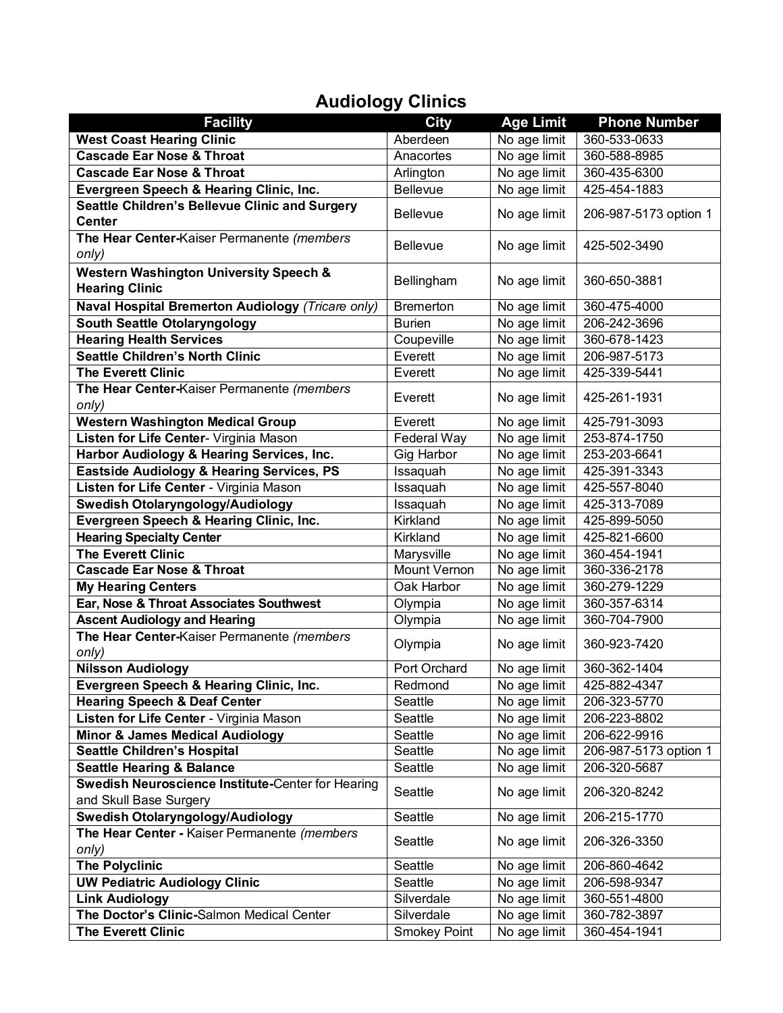# **Audiology Clinics**

| <b>Facility</b>                                                             | <b>City</b>         | <b>Age Limit</b> | <b>Phone Number</b>   |  |
|-----------------------------------------------------------------------------|---------------------|------------------|-----------------------|--|
| <b>West Coast Hearing Clinic</b>                                            | Aberdeen            | No age limit     | 360-533-0633          |  |
| <b>Cascade Ear Nose &amp; Throat</b>                                        | Anacortes           | No age limit     | 360-588-8985          |  |
| <b>Cascade Ear Nose &amp; Throat</b>                                        | Arlington           | No age limit     | 360-435-6300          |  |
| Evergreen Speech & Hearing Clinic, Inc.                                     | Bellevue            | No age limit     | 425-454-1883          |  |
| Seattle Children's Bellevue Clinic and Surgery<br><b>Center</b>             | <b>Bellevue</b>     | No age limit     | 206-987-5173 option 1 |  |
| The Hear Center-Kaiser Permanente (members                                  |                     |                  |                       |  |
| only)                                                                       | <b>Bellevue</b>     | No age limit     | 425-502-3490          |  |
| <b>Western Washington University Speech &amp;</b><br><b>Hearing Clinic</b>  | Bellingham          | No age limit     | 360-650-3881          |  |
| Naval Hospital Bremerton Audiology (Tricare only)                           | <b>Bremerton</b>    | No age limit     | 360-475-4000          |  |
| <b>South Seattle Otolaryngology</b>                                         | <b>Burien</b>       | No age limit     | 206-242-3696          |  |
| <b>Hearing Health Services</b>                                              | Coupeville          | No age limit     | 360-678-1423          |  |
| <b>Seattle Children's North Clinic</b>                                      | Everett             | No age limit     | 206-987-5173          |  |
| <b>The Everett Clinic</b>                                                   | Everett             | No age limit     | 425-339-5441          |  |
| The Hear Center-Kaiser Permanente (members                                  |                     |                  |                       |  |
| only)                                                                       | Everett             | No age limit     | 425-261-1931          |  |
| <b>Western Washington Medical Group</b>                                     | Everett             | No age limit     | 425-791-3093          |  |
| Listen for Life Center- Virginia Mason                                      | Federal Way         | No age limit     | 253-874-1750          |  |
| Harbor Audiology & Hearing Services, Inc.                                   | <b>Gig Harbor</b>   | No age limit     | 253-203-6641          |  |
| Eastside Audiology & Hearing Services, PS                                   | Issaquah            | No age limit     | 425-391-3343          |  |
| Listen for Life Center - Virginia Mason                                     | Issaquah            | No age limit     | 425-557-8040          |  |
| Swedish Otolaryngology/Audiology                                            | Issaquah            | No age limit     | 425-313-7089          |  |
| Evergreen Speech & Hearing Clinic, Inc.                                     | Kirkland            | No age limit     | 425-899-5050          |  |
| <b>Hearing Specialty Center</b>                                             | Kirkland            | No age limit     | 425-821-6600          |  |
| <b>The Everett Clinic</b>                                                   | Marysville          | No age limit     | 360-454-1941          |  |
| <b>Cascade Ear Nose &amp; Throat</b>                                        | Mount Vernon        | No age limit     | 360-336-2178          |  |
| <b>My Hearing Centers</b>                                                   | Oak Harbor          | No age limit     | 360-279-1229          |  |
| Ear, Nose & Throat Associates Southwest                                     | Olympia             | No age limit     | 360-357-6314          |  |
| <b>Ascent Audiology and Hearing</b>                                         | Olympia             | No age limit     | 360-704-7900          |  |
| The Hear Center-Kaiser Permanente (members<br>only)                         | Olympia             | No age limit     | 360-923-7420          |  |
| <b>Nilsson Audiology</b>                                                    | Port Orchard        | No age limit     | 360-362-1404          |  |
| Evergreen Speech & Hearing Clinic, Inc.                                     | Redmond             | No age limit     | 425-882-4347          |  |
| <b>Hearing Speech &amp; Deaf Center</b>                                     | Seattle             | No age limit     | 206-323-5770          |  |
| Listen for Life Center - Virginia Mason                                     | Seattle             | No age limit     | 206-223-8802          |  |
| <b>Minor &amp; James Medical Audiology</b>                                  | Seattle             | No age limit     | 206-622-9916          |  |
| <b>Seattle Children's Hospital</b>                                          | Seattle             | No age limit     | 206-987-5173 option 1 |  |
| <b>Seattle Hearing &amp; Balance</b>                                        | Seattle             | No age limit     | 206-320-5687          |  |
| Swedish Neuroscience Institute-Center for Hearing<br>and Skull Base Surgery | Seattle             | No age limit     | 206-320-8242          |  |
| Swedish Otolaryngology/Audiology                                            | Seattle             | No age limit     | 206-215-1770          |  |
| The Hear Center - Kaiser Permanente (members<br>only)                       | Seattle             | No age limit     | 206-326-3350          |  |
| <b>The Polyclinic</b>                                                       | Seattle             | No age limit     | 206-860-4642          |  |
| <b>UW Pediatric Audiology Clinic</b>                                        | Seattle             | No age limit     | 206-598-9347          |  |
| <b>Link Audiology</b>                                                       | Silverdale          | No age limit     | 360-551-4800          |  |
| The Doctor's Clinic-Salmon Medical Center                                   | Silverdale          | No age limit     | 360-782-3897          |  |
| <b>The Everett Clinic</b>                                                   | <b>Smokey Point</b> | No age limit     | 360-454-1941          |  |
|                                                                             |                     |                  |                       |  |